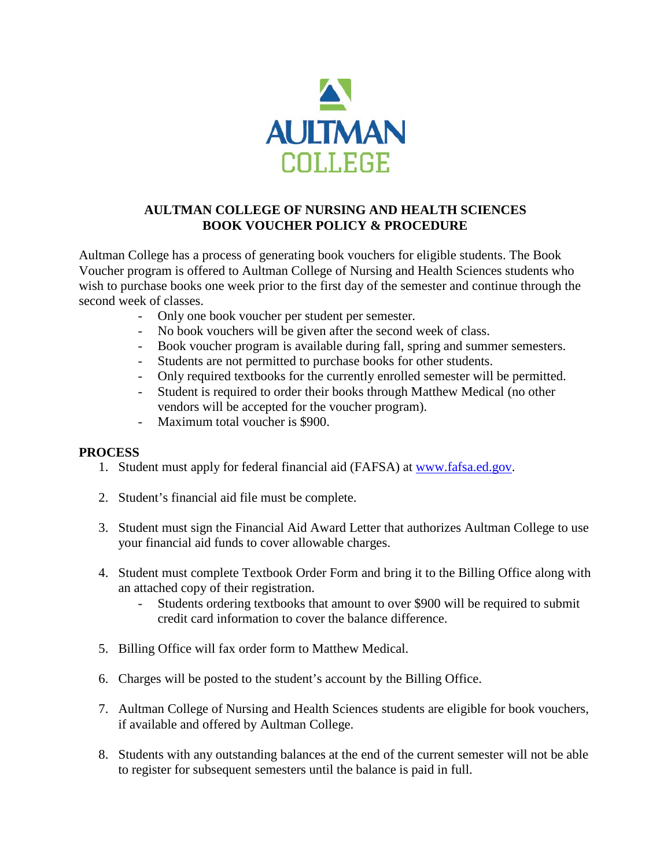

## **AULTMAN COLLEGE OF NURSING AND HEALTH SCIENCES BOOK VOUCHER POLICY & PROCEDURE**

Aultman College has a process of generating book vouchers for eligible students. The Book Voucher program is offered to Aultman College of Nursing and Health Sciences students who wish to purchase books one week prior to the first day of the semester and continue through the second week of classes.

- Only one book voucher per student per semester.
- No book vouchers will be given after the second week of class.
- Book voucher program is available during fall, spring and summer semesters.
- Students are not permitted to purchase books for other students.<br>- Only required textbooks for the currently enrolled semester will
- Only required textbooks for the currently enrolled semester will be permitted.
- Student is required to order their books through Matthew Medical (no other vendors will be accepted for the voucher program).
- Maximum total voucher is \$900.

## **PROCESS**

- 1. Student must apply for federal financial aid (FAFSA) at [www.fafsa.ed.gov.](http://www.fafsa.ed.gov/)
- 2. Student's financial aid file must be complete.
- 3. Student must sign the Financial Aid Award Letter that authorizes Aultman College to use your financial aid funds to cover allowable charges.
- 4. Student must complete Textbook Order Form and bring it to the Billing Office along with an attached copy of their registration.
	- Students ordering textbooks that amount to over \$900 will be required to submit credit card information to cover the balance difference.
- 5. Billing Office will fax order form to Matthew Medical.
- 6. Charges will be posted to the student's account by the Billing Office.
- 7. Aultman College of Nursing and Health Sciences students are eligible for book vouchers, if available and offered by Aultman College.
- 8. Students with any outstanding balances at the end of the current semester will not be able to register for subsequent semesters until the balance is paid in full.